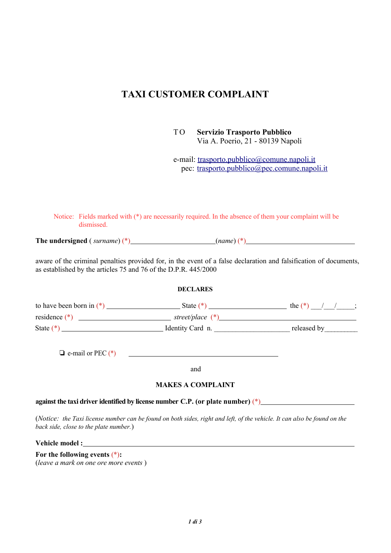# **TAXI CUSTOMER COMPLAINT**

T O **Servizio Trasporto Pubblico** Via A. Poerio, 21 - 80139 Napoli

e-mail: trasporto.pubblico@comune.napoli.it pec: trasporto.pubblico@pec.comune.napoli.it

Notice: Fields marked with (\*) are necessarily required. In the absence of them your complaint will be dismissed.

**The undersigned** ( *surname*) (\*) (*name*) (\*)

aware of the criminal penalties provided for, in the event of a false declaration and falsification of documents, as established by the articles 75 and 76 of the D.P.R. 445/2000

#### **DECLARES**

| to have been born in $(*)$ | State $(*)$        | the $(*$    |
|----------------------------|--------------------|-------------|
| residence $(*)$            | street/place $(*)$ |             |
| State (*)                  | Identity Card n.   | released by |

 $\Box$  e-mail or PEC  $(*)$ 

and

### **MAKES A COMPLAINT**

**against the taxi driver identified by license number C.P. (or plate number)** (\*)

(*Notice: the Taxi license number can be found on both sides, right and left, of the vehicle. It can also be found on the back side, close to the plate number.*)

**Vehicle model :**

**For the following events** (\*)**:** (*leave a mark on one ore more events* )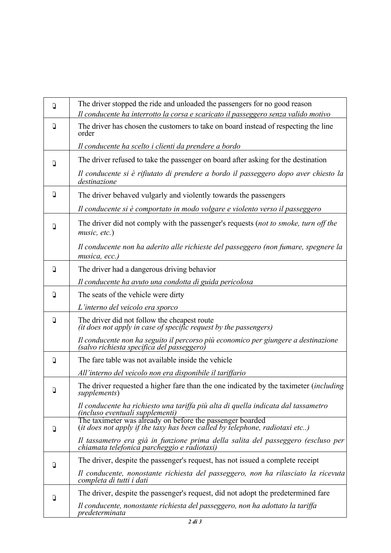| Q      | The driver stopped the ride and unloaded the passengers for no good reason                                                               |
|--------|------------------------------------------------------------------------------------------------------------------------------------------|
|        | Il conducente ha interrotto la corsa e scaricato il passeggero senza valido motivo                                                       |
| O      | The driver has chosen the customers to take on board instead of respecting the line<br>order                                             |
|        | Il conducente ha scelto i clienti da prendere a bordo                                                                                    |
| D      | The driver refused to take the passenger on board after asking for the destination                                                       |
|        | Il conducente si è rifiutato di prendere a bordo il passeggero dopo aver chiesto la<br>destinazione                                      |
| $\Box$ | The driver behaved vulgarly and violently towards the passengers                                                                         |
|        | Il conducente si è comportato in modo volgare e violento verso il passeggero                                                             |
| $\Box$ | The driver did not comply with the passenger's requests (not to smoke, turn off the<br>music, etc.)                                      |
|        | Il conducente non ha aderito alle richieste del passeggero (non fumare, spegnere la<br>musica, ecc.)                                     |
| D      | The driver had a dangerous driving behavior                                                                                              |
|        | Il conducente ha avuto una condotta di guida pericolosa                                                                                  |
| D      | The seats of the vehicle were dirty                                                                                                      |
|        | L'interno del veicolo era sporco                                                                                                         |
| $\Box$ | The driver did not follow the cheapest route<br>(it does not apply in case of specific request by the passengers)                        |
|        | Il conducente non ha seguito il percorso più economico per giungere a destinazione (salvo richiesta specifica del passeggero)            |
| D      | The fare table was not available inside the vehicle                                                                                      |
|        | All'interno del veicolo non era disponibile il tariffario                                                                                |
| D.     | The driver requested a higher fare than the one indicated by the taximeter <i>(including</i><br>supplements)                             |
|        | Il conducente ha richiesto una tariffa più alta di quella indicata dal tassametro<br>(incluso eventuali supplementi)                     |
| $\Box$ | The taximeter was already on before the passenger boarded<br>(it does not apply if the taxy has been called by telephone, radiotaxi etc) |
|        | Il tassametro era già in funzione prima della salita del passeggero (escluso per<br>chiamata telefonica parcheggio e radiotaxi)          |
| D      | The driver, despite the passenger's request, has not issued a complete receipt                                                           |
|        | Il conducente, nonostante richiesta del passeggero, non ha rilasciato la ricevuta<br>completa di tutti i dati                            |
| Q      | The driver, despite the passenger's request, did not adopt the predetermined fare                                                        |
|        | Il conducente, nonostante richiesta del passeggero, non ha adottato la tariffa<br>predeterminata                                         |